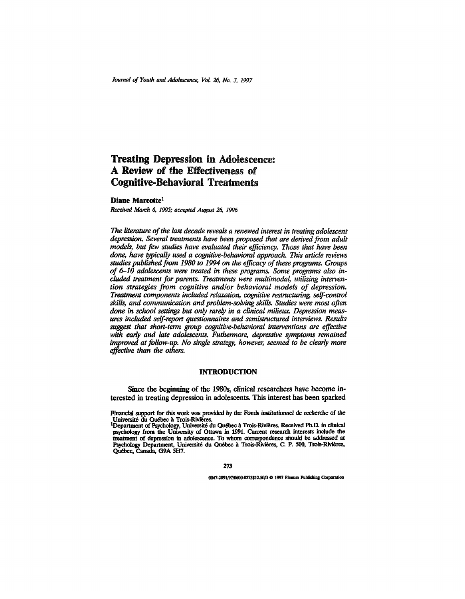# Treating Depression in Adolescence: A Review of the Effectiveness of Cognitive-Behavioral Treatments

#### **Diane** Marcotte1

*Received March 6, 1995; accepted August 26, 1996*

*The literature of the last decade reveals a renewed interest in treating adolescent depression. Several treatments have been proposed that are derived from adult models, but few studies have evaluated their efficiency. Those that have been done, have typically used a cognitive-behavioral approach. This article reviews studies published from 1980 to 1994 on the efficacy of these programs. Groups of 6-10 adolescents were treated in these programs. Some programs also included treatment for parents. Treatments were multimodal, utilizing intervention strategies from cognitive and/or behavioral models of depression. Treatment components included relaxation, cognitive restructuring, self-control skills, and communication and problem-solving skills. Studies were most often done in school settings but only rarefy in a clinical milieux. Depression measures included self-report questionnaires and semistructured interviews. Results suggest that short-term group cognitive-behavioral interventions are effective with early and late adolescents. Futhermore, depressive symptoms remained improved at follow-up. No single strategy, however, seemed to be clearly more effective than the others.*

## **INTRODUCTION**

Since the beginning of the 1980s, clinical researchers have become interested in treating depression in adolescents. This interest has been sparked

273

0047-2891/97/0600-0273\$12.50/0 C 1997 Plenum Publishing Corporation

Financial support for this work was provided by the Fonds institutionnel de recherche of the Universite du Québec à Trois-Rivières.<br><sup>1</sup>Department of Psychology, Université du Québec à Trois-Rivières. Received Ph.D. in clinical

psychology from the University of Ottawa in 1991. Current research interests include the treatment of depression in adolescence. To whom correspondence should be addressed at Psychology Department, Université du Québec à Trois-Rivières, C. P. 500, Trois-Rivières, Quebec, Canada, G9A 5H7.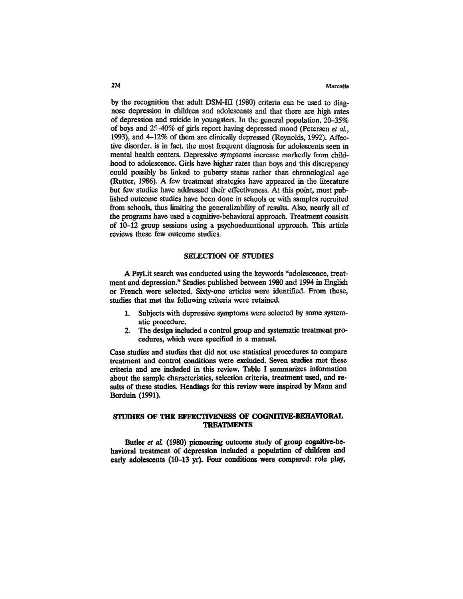## 274 Marcotte

by the recognition that adult DSM-III (1980) criteria can be used to diagnose depression in children and adolescents and that there are high rates of depression and suicide in youngsters. In the general population, 20-35% of boys and 25-40% of girls report having depressed mood (Petersen *et al.,* 1993), and 4-12% of them are clinically depressed (Reynolds, 1992). Affective disorder, is in fact, the most frequent diagnosis for adolescents seen in mental health centers. Depressive symptoms increase markedly from childhood to adolescence. Girls have higher rates than boys and this discrepancy could possibly be linked to puberty status rather than chronological age (Rutter, 1986). A few treatment strategies have appeared in the literature but few studies have addressed their effectiveness. At this point, most published outcome studies have been done in schools or with samples recruited from schools, thus limiting the generalizability of results. Also, nearly all of the programs have used a cognitive-behavioral approach. Treatment consists of 10-12 group sessions using a psychoeducational approach. This article reviews these few outcome studies.

# SELECTION OF STUDIES

A PsyLit search was conducted using the keywords "adolescence, treatment and depression." Studies published between 1980 and 1994 in English or French were selected. Sixty-one articles were identified. From these, studies that met the following criteria were retained.

- 1. Subjects with depressive symptoms were selected by some systematic procedure.
- 2. The design included a control group and systematic treatment procedures, which were specified in a manual.

Case studies and studies that did not use statistical procedures to compare treatment and control conditions were excluded. Seven studies met these criteria and are included in this review. Table I summarizes information about the sample characteristics, selection criteria, treatment used, and results of these studies. Headings for this review were inspired by Mann and Borduin (1991).

# **STUDIES OF THE EFFECTIVENESS OF COGNITIVE-BEHAVIORAL TREATMENTS**

Butler *et al.* (1980) pioneering outcome study of group cognitive-behavioral treatment of depression included a population of children and early adolescents (10-13 yr). Four conditions were compared: role play,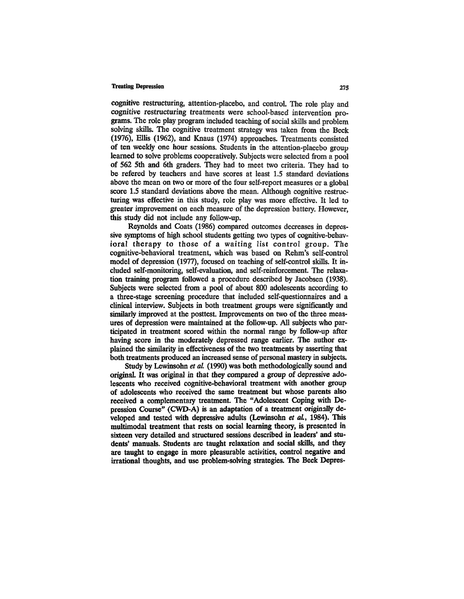cognitive restructuring, attention-placebo, and control. The role play and cognitive restructuring treatments were school-based intervention programs. The role play program included teaching of social skills and problem solving skills. The cognitive treatment strategy was taken from the Beck (1976), Ellis (1962), and Knaus (1974) approaches. Treatments consisted of ten weekly one hour sessions. Students in the attention-placebo group learned to solve problems cooperatively. Subjects were selected from a pool of 562 5th and 6th graders. They had to meet two criteria. They had to be refered by teachers and have scores at least 1.5 standard deviations above the mean on two or more of the four self-report measures or a global score 1.5 standard deviations above the mean. Although cognitive restructuring was effective in this study, role play was more effective. It led to greater improvement on each measure of the depression battery. However, this study did not include any follow-up.

Reynolds and Coats (1986) compared outcomes decreases in depressive symptoms of high school students getting two types of cognitive-behavioral therapy to those of a waiting list control group. The cognitive-behavioral treatment, which was based on Rehm's self-control model of depression (1977), focused on teaching of self-control skills. It included self-monitoring, self-evaluation, and self-reinforcement. The relaxation training program followed a procedure described by Jacobsen (1938). Subjects were selected from a pool of about 800 adolescents according to a three-stage screening procedure that included self-questionnaires and a clinical interview. Subjects in both treatment groups were significantly and similarly improved at the posttest. Improvements on two of the three measures of depression were maintained at the follow-up. All subjects who participated in treatment scored within the normal range by follow-up after having score in the moderately depressed range earlier. The author explained the similarity in effectiveness of the two treatments by asserting that both treatments produced an increased sense of personal mastery in subjects.

Study by Lewinsohn et al. (1990) was both methodologically sound and original. It was original in that they compared a group of depressive adolescents who received cognitive-behavioral treatment with another group of adolescents who received the same treatment but whose parents also received a complementary treatment. The "Adolescent Coping with Depression Course" (CWD-A) is an adaptation of a treatment originally developed and tested with depressive adults (Lewinsohn *et al.,* 1984). This multimodal treatment that rests on social learning theory, is presented in sixteen very detailed and structured sessions described in leaders' and students' manuals. Students are taught relaxation and social skills, and they are taught to engage in more pleasurable activities, control negative and irrational thoughts, and use problem-solving strategies. The Beck Depres-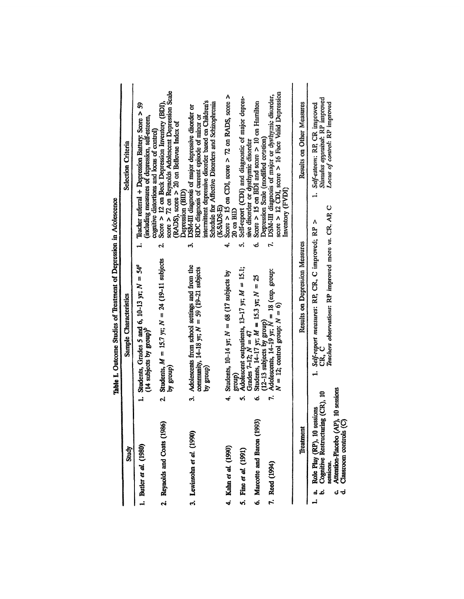|                                                                                                                                                                                     | Table 1. Outcome Studies or Irearment or Depression in Adolescence                                                                  |                                                                                                                                                                                                                                     |
|-------------------------------------------------------------------------------------------------------------------------------------------------------------------------------------|-------------------------------------------------------------------------------------------------------------------------------------|-------------------------------------------------------------------------------------------------------------------------------------------------------------------------------------------------------------------------------------|
| Study                                                                                                                                                                               | Sample Characteristics                                                                                                              | <b>Selection Criteria</b>                                                                                                                                                                                                           |
| 1. Butler et al. (1980)                                                                                                                                                             | 1. Students, Grades 5 and 6, 10-13 yr; $N = 54^{\circ}$<br>(14 subjects by group) <sup>p</sup>                                      | 1. Teacher referral $+$ Depression Battery: Score $>$ 59<br>(including measures of depression, self-esteem,<br>cognitive distortions and locus of control)                                                                          |
| 2. Reynolds and Coats (1986)                                                                                                                                                        | 2. Students, $M = 15.7$ yr; $N = 24$ (19-11 subjects<br>by group)                                                                   | score > 72 on Reynolds Adolescent Depression Scale<br>Score > 12 on Beck Depression Inventory (BDI),<br>$(RADS)$ , score > 20 on Bellevue Index of<br>Depression (BID)<br>۲Ġ                                                        |
| 3. Lewinsohn et al. (1990)                                                                                                                                                          | 3. Adolescents from school settings and from the<br>community, $14-18$ yr; $N = 59(19-21$ subjects<br>hy group)                     | intermittent depressive disorder based on Children's<br>Schedule for Affective Disorders and Schizophrenia<br>DSM-III diagnosis of major depressive disorder or<br>RDC diagnosis of current episode of minor or<br>(K-SADS-E)<br>က် |
| 4. Kahn et al. (1990)                                                                                                                                                               | 4. Students, $10-14$ yr; $N = 68$ (17 subjects by<br>(dno.f                                                                         | Score $>$ 15 on CDI, score $>$ 72 on RADS, score $>$<br>20 on BID                                                                                                                                                                   |
| 5. Fine et al. (1991)                                                                                                                                                               | Adolescent outpatients, 13-17 yr; $M = 15.1$ ;<br>Grades 7-12; $N = 47$<br>ń                                                        | Self-report (CDI) and diagnostic of major depres-<br>sive disorder or dysthymic disorder<br>ທ່                                                                                                                                      |
| 6. Marcotte and Baron (1993)                                                                                                                                                        | Students, 14-17 yr; $M = 15.3$ yr; $N = 25$<br>Ġ                                                                                    | Score $> 15$ on BDI and score $> 10$ on Hamilton<br>Depression Scale (modified cotation)<br>Ġ                                                                                                                                       |
| 7. Reed (1994)                                                                                                                                                                      | (12-13 subjects by group)<br>Adolescents, $14-19$ yr, $N = 18$ (exp. group:<br>$N = 12$ ; control group: $N = 6$ )<br>7.            | score $> 12$ CDI, score $> 16$ Face Valid Depression<br>DSM-III diagnosis of major or dysthymic disorder,<br>Inventory (FVDI)                                                                                                       |
| Treatment                                                                                                                                                                           | Results on Depression Measures                                                                                                      | Results on Other Measures                                                                                                                                                                                                           |
| (CR), 10<br>Role Play (RP), 10 sessions<br><b>Cognitive Restructuring</b><br>Attention-Placebo (AP),<br>Classroom controls (C)<br>sessions.<br>$\vec{a}$<br>ن<br>ت<br>ಳ<br><u>،</u> | Teachers observations: RP improved more vs. CR, AP, C<br>1. Self-report measures: RP, CR, C improved; RP<br>CR.<br>ජ<br>10 sessions | Stimulus appraisal: RP improved<br>Locus of control: RP improved<br>1. Self-esteem: RF, CR improved<br>Λ                                                                                                                            |

sssinn in Adoleeoe  $\mathbf{r}$ J, •ና ጥሩ ्रं å خ<br>×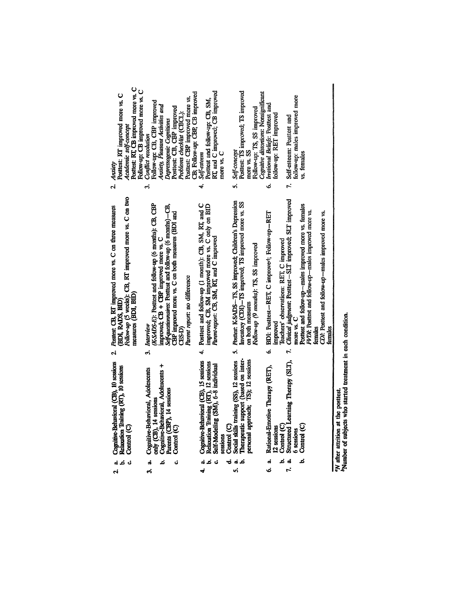| Posttest: RT, CB improved more vs. C<br>Follow-up: CB improved more vs. C<br>Posttest: RT improved more vs. C<br>Academic self-concept<br>Anxiety                       | CB; Follow-up: CBP, CB improved<br>Posttest: CBP improved more vs.<br>Follow-up: CB, CBP improved<br>Anxiety, Pleasant Activities and<br>Posttest: CB, CBP improved<br>Problems checklist (CBCL):<br>Depressogenic Cognitions<br>Conflict resolution                                | RT, and C improved; CB improved<br>Posttest and follow-up: CB, SM,<br>more vs. C<br>Self-esteem                                                               | Posttest: TS improved; TS improved<br>Cognitive distortions: Nonsignificant<br>Follow-up: TS, SS improved<br>5. Self-concept<br>more vs. SS                                     | Irrational Beliefs: Posttest and<br>follow-up: RET improved         | follow-up: males improved more<br>Self-esteem: Posttest and<br>vs. females                                                                                                                                                                                                                                                                  |                                                                                                                       |
|-------------------------------------------------------------------------------------------------------------------------------------------------------------------------|-------------------------------------------------------------------------------------------------------------------------------------------------------------------------------------------------------------------------------------------------------------------------------------|---------------------------------------------------------------------------------------------------------------------------------------------------------------|---------------------------------------------------------------------------------------------------------------------------------------------------------------------------------|---------------------------------------------------------------------|---------------------------------------------------------------------------------------------------------------------------------------------------------------------------------------------------------------------------------------------------------------------------------------------------------------------------------------------|-----------------------------------------------------------------------------------------------------------------------|
| <u>ત</u><br>Follow-up (5 weeks): CB, RT improved more vs. C on two<br>Posttest: CB, RT improved more vs. C on three measures<br>measures (BDI, BID)<br>(BDI, RADS, BID) | က်<br>(K-SADS-E): Posttest and follow-up (6 months): CB, CBP<br>Self-questionnaires: Posttest and follow-up (6 months)-CB,<br>CBP improved more vs. C on both measures (BDI and<br>improved; CB + CBP improved more vs. C<br>Parent report: no difference<br>3. Interview<br>CES-D) | 4.<br>4. Posttest and follow-up (1 month): CB, SM, RT, and C<br>improved; CB, SM improved more vs. C only on BID<br>Parent-report: CB, SM, RT, and C improved | 5. Posttest: K-SADS-TS, SS improved; Children's Depression<br>Inventory (CDI)-TS improved; TS improved more vs. SS<br>Follow-up (9 months): TS, SS improved<br>on both measures | Ġ<br>BDI: Posttest-RET, C improvert, Follow-up-RET<br>Improved<br>ی | $\mathbf{r}$<br>Teachers' observations: RET, C improved<br>Clinical judgment: Postest--SLT improved; SLT improved<br>Posttest and follow-up-males improved more vs. females<br>FVDI: Posttest and follow-up-males improved more vs.<br>CDI: Posttest and follow-up-males improved more vs.<br>more vs. C<br>temales<br>females<br>$\vec{r}$ |                                                                                                                       |
| ر.<br>م<br>Cognitive-Behavioral (CB), 10 sessions<br>Relaxation Training (RT), 10 sessions<br>Control (C)                                                               | Cognitive-Behavioral, Adolescents +<br>Cognitive-Behavioral, Adolescents<br>Parents (CBP), 14 sessions<br>only (CB), 14 sessions<br>Control (C)                                                                                                                                     | Cognitive-Behavioral (CB), 15 sessions<br>Relaxation Training (RT), 12 sessions<br>Self-Modeling (SM), 6-8 individual<br>Control (C)<br>sessions              | Therapeutic support (based on inter-<br>Social skills training (SS), 12 sessions<br>roach; TS); 12 sessions<br>personal appi                                                    | otive Therapy (RET),<br>Rational-Em<br>Control (C)<br>12 sessions   | earning Therapy (SLT),<br>Control (C)<br>Structured<br><b>6</b> sessions                                                                                                                                                                                                                                                                    | who started treatment in each condition.<br>the posttest.<br><sup>b</sup> Number of subjects<br>"N after attrition at |
| તં<br>ಟ<br>أح                                                                                                                                                           | d<br>ځ<br>త<br>Ġ,                                                                                                                                                                                                                                                                   | ಕ<br>ئم<br>તં<br>చ<br>÷                                                                                                                                       | á<br>ئم<br>n,                                                                                                                                                                   | ئم<br>d<br>ó                                                        | ಹೆ<br>ئم<br>$\mathbf{r}$                                                                                                                                                                                                                                                                                                                    |                                                                                                                       |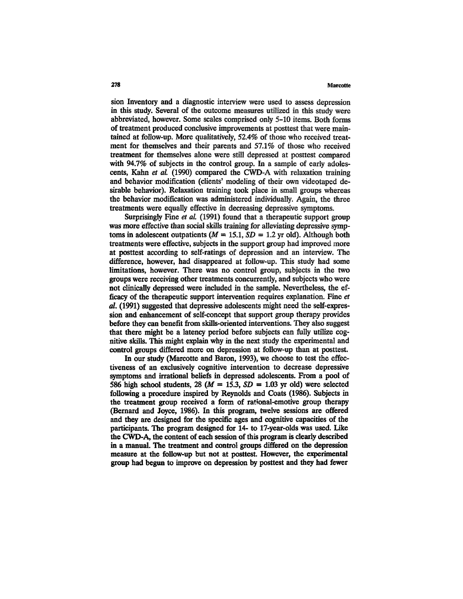sion Inventory and a diagnostic interview were used to assess depression in this study. Several of the outcome measures utilized in this study were abbreviated, however. Some scales comprised only 5-10 items. Both forms of treatment produced conclusive improvements at posttest that were maintained at follow-up. More qualitatively, 52.4% of those who received treatment for themselves and their parents and 57.1% of those who received treatment for themselves alone were still depressed at posttest compared with 94.7% of subjects in the control group. In a sample of early adolescents, Kahn *et al.* (1990) compared the CWD-A with relaxation training and behavior modification (clients' modeling of their own videotaped desirable behavior). Relaxation training took place in small groups whereas the behavior modification was administered individually. Again, the three treatments were equally effective in decreasing depressive symptoms.

Surprisingly Fine *et al.* (1991) found that a therapeutic support group was more effective than social skills training for alleviating depressive symptoms in adolescent outpatients  $(M = 15.1, SD = 1.2$  yr old). Although both treatments were effective, subjects in the support group had improved more at posttest according to self-ratings of depression and an interview. The difference, however, had disappeared at follow-up. This study had some limitations, however. There was no control group, subjects in the two groups were receiving other treatments concurrently, and subjects who were not clinically depressed were included in the sample. Nevertheless, the efficacy of the therapeutic support intervention requires explanation. Fine *et al.* (1991) suggested that depressive adolescents might need the self-expression and enhancement of self-concept that support group therapy provides before they can benefit from skills-oriented interventions. They also suggest that there might be a latency period before subjects can fully utilize cognitive skills. This might explain why in the next study the experimental and control groups differed more on depression at follow-up than at posttest.

In our study (Marcotte and Baron, 1993), we choose to test the effectiveness of an exclusively cognitive intervention to decrease depressive symptoms and irrational beliefs in depressed adolescents. From a pool of 586 high school students, 28 ( $M = 15.3$ ,  $SD = 1.03$  yr old) were selected following a procedure inspired by Reynolds and Coats (1986). Subjects in the treatment group received a form of rational-emotive group therapy (Bernard and Joyce, 1986). In this program, twelve sessions are offered and they are designed for the specific ages and cognitive capacities of the participants. The program designed for 14- to 17-year-olds was used. Like the CWD-A, the content of each session of this program is clearly described in a manual. The treatment and control groups differed on the depression measure at the follow-up but not at posttest. However, the experimental group had begun to improve on depression by posttest and they had fewer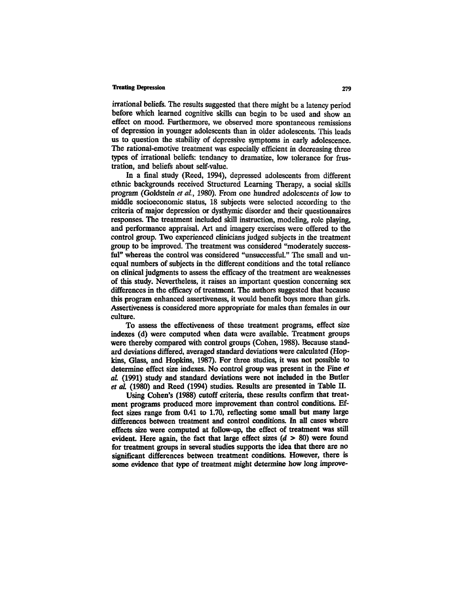irrational beliefs. The results suggested that there might be a latency period before which learned cognitive skills can begin to be used and show an effect on mood. Furthermore, we observed more spontaneous remissions of depression in younger adolescents than in older adolescents. This leads us to question the stability of depressive symptoms in early adolescence. The rational-emotive treatment was especially efficient in decreasing three types of irrational beliefs: tendancy to dramatize, low tolerance for frustration, and beliefs about self-value.

In a final study (Reed, 1994), depressed adolescents from different ethnic backgrounds received Structured Learning Therapy, a social skills program (Goldstein *et al,* 1980). From one hundred adolescents of low to middle socioeconomic status, 18 subjects were selected according to the criteria of major depression or dysthymic disorder and their questionnaires responses. The treatment included skill instruction, modeling, role playing, and performance appraisal. Art and imagery exercises were offered to the control group. Two experienced clinicians judged subjects in the treatment group to be improved. The treatment was considered "moderately successful" whereas the control was considered "unsuccessful." The small and unequal numbers of subjects in the different conditions and the total reliance on clinical judgments to assess the efficacy of the treatment are weaknesses of this study. Nevertheless, it raises an important question concerning sex differences in the efficacy of treatment. The authors suggested that because this program enhanced assertiveness, it would benefit boys more than girls. Assertiveness is considered more appropriate for males than females in our culture.

To assess the effectiveness of these treatment programs, effect size indexes (d) were computed when data were available. Treatment groups were thereby compared with control groups (Cohen, 1988). Because standard deviations differed, averaged standard deviations were calculated (Hopkins, Glass, and Hopkins, 1987). For three studies, it was not possible to determine effect size indexes. No control group was present in the Fine *et al* (1991) study and standard deviations were not included in the Butler *et al* (1980) and Reed (1994) studies. Results are presented in Table II.

Using Cohen's (1988) cutoff criteria, these results confirm that treatment programs produced more improvement than control conditions. Effect sizes range from 0.41 to 1.70, reflecting some small but many large differences between treatment and control conditions. In all cases where effects size were computed at follow-up, the effect of treatment was still evident. Here again, the fact that large effect sizes *(d >* 80) were found for treatment groups in several studies supports the idea that there are no significant differences between treatment conditions. However, there is some evidence that type of treatment might determine how long improve-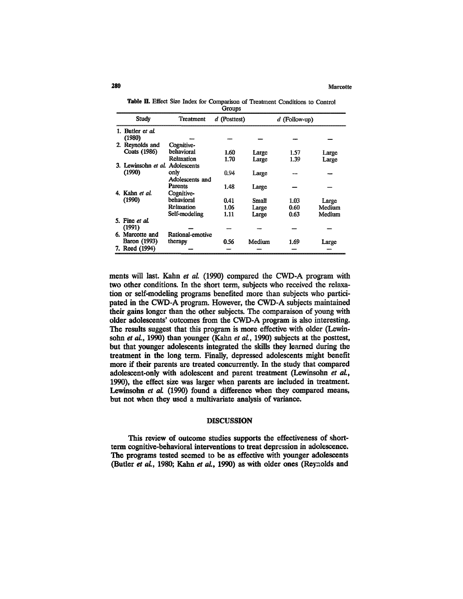#### **289** Marcotte

|        |  |  |  |  |  | Table II. Effect Size Index for Comparison of Treatment Conditions to Control |  |  |  |  |  |
|--------|--|--|--|--|--|-------------------------------------------------------------------------------|--|--|--|--|--|
| Groups |  |  |  |  |  |                                                                               |  |  |  |  |  |

| Study                           | Treatment        | d (Posttest) |        | $d$ (Follow-up) |        |
|---------------------------------|------------------|--------------|--------|-----------------|--------|
| 1. Butler et al.                |                  |              |        |                 |        |
| (1980)                          |                  |              |        |                 |        |
| 2. Reynolds and                 | Cognitive-       |              |        |                 |        |
| Coats (1986)                    | behavioral       | 1.60         | Large  | 1.57            | Large  |
|                                 | Relaxation       | 1.70         | Large  | 1.39            | Large  |
| 3. Lewinsohn et al. Adolescents |                  |              |        |                 |        |
| (1990)                          | only             | 0.94         | Large  |                 |        |
|                                 | Adolescents and  |              |        |                 |        |
|                                 | <b>Parents</b>   | 1.48         | Large  |                 |        |
| 4. Kahn et al.                  | Cognitive-       |              |        |                 |        |
| (1990)                          | behavioral       | 0.41         | Small  | 1.03            | Large  |
|                                 | Relaxation       | 1.06         | Large  | 0.60            | Medium |
|                                 | Self-modeling    | 1.11         | Large  | 0.63            | Medium |
| 5. Fine et al.                  |                  |              |        |                 |        |
| (1991)                          |                  |              |        |                 |        |
| 6. Marcotte and                 | Rational-emotive |              |        |                 |        |
| Baron (1993)                    | therapy          | 0.56         | Medium | 1.69            | Large  |
| 7. Reed (1994)                  |                  |              |        |                 |        |

ments will last. Kahn *et al.* (1990) compared the CWD-A program with two other conditions. In the short term, subjects who received the relaxation or self-modeling programs benefited more than subjects who participated in the CWD-A program. However, the CWD-A subjects maintained their gains longer than the other subjects. The comparaison of young with older adolescents' outcomes from the CWD-A program is also interesting. The results suggest that this program is more effective with older (Lewinsohn *et al,* 1990) than younger (Kahn *et al.,* 1990) subjects at the posttest, but that younger adolescents integrated the skills they learned during the treatment in the long term. Finally, depressed adolescents might benefit more if their parents are treated concurrently. In the study that compared adolescent-only with adolescent and parent treatment (Lewinsohn *et al.,* 1990), the effect size was larger when parents are included in treatment. Lewinsohn *et al.* (1990) found a difference when they compared means, but not when they used a multivariate analysis of variance.

#### DISCUSSION

This review of outcome studies supports the effectiveness of shortterm cognitive-behavioral interventions to treat depression in adolescence. The programs tested seemed to be as effective with younger adolescents (Butler *et al,* 1980; Kahn *et al.,* 1990) as with older ones (Reynolds and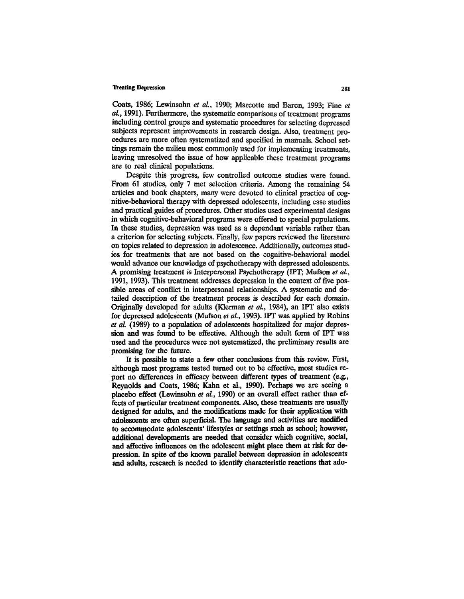Coats, 1986; Lewinsohn *et al,* 1990; Marcotte and Baron, 1993; Fine *et al,* 1991). Furthermore, the systematic comparisons of treatment programs including control groups and systematic procedures for selecting depressed subjects represent improvements in research design. Also, treatment procedures are more often systematized and specified in manuals. School settings remain the milieu most commonly used for implementing treatments, leaving unresolved the issue of how applicable these treatment programs are to real clinical populations.

Despite this progress, few controlled outcome studies were found. From 61 studies, only 7 met selection criteria. Among the remaining 54 articles and book chapters, many were devoted to clinical practice of cognitive-behavioral therapy with depressed adolescents, including case studies and practical guides of procedures. Other studies used experimental designs in which cognitive-behavioral programs were offered to special populations. In these studies, depression was used as a dependant variable rather than a criterion for selecting subjects. Finally, few papers reviewed the literature on topics related to depression in adolescence. Additionally, outcomes studies for treatments that are not based on the cognitive-behavioral model would advance our knowledge of psychotherapy with depressed adolescents. A promising treatment is Interpersonal Psychotherapy (IPT; Mufson *et al.,* 1991,1993). This treatment addresses depression in the context of five possible areas of conflict in interpersonal relationships. A systematic and detailed description of the treatment process is described for each domain. Originally developed for adults (Klerman *et al.,* 1984), an IPT also exists for depressed adolescents (Mufson *et al.,* 1993). IPT was applied by Robins *et al.* (1989) to a population of adolescents hospitalized for major depression and was found to be effective. Although the adult form of IPT was used and the procedures were not systematized, the preliminary results are promising for the future.

It is possible to state a few other conclusions from this review. First, although most programs tested turned out to be effective, most studies report no differences in efficacy between different types of treatment (e.g., Reynolds and Coats, 1986; Kahn et al., 1990). Perhaps we are seeing a placebo effect (Lewinsohn *et al,* 1990) or an overall effect rather than effects of particular treatment components. Also, these treatments are usually designed for adults, and the modifications made for their application with adolescents are often superficial. The language and activities are modified to accommodate adolescents' lifestyles or settings such as school; however, additional developments are needed that consider which cognitive, social, and affective influences on the adolescent might place them at risk for depression. In spite of the known parallel between depression in adolescents and adults, research is needed to identify characteristic reactions that ado-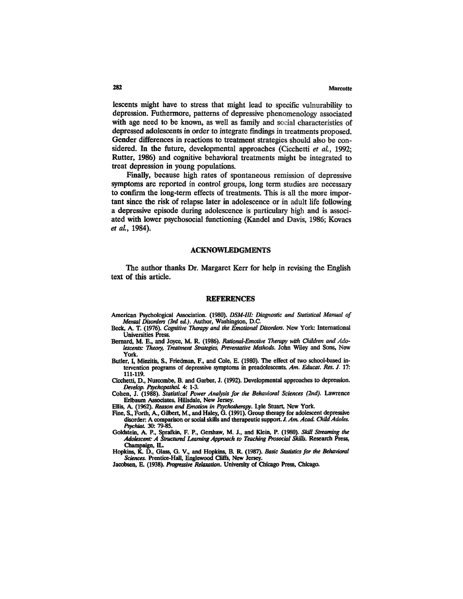## **282** Marcotte

lescents might have to stress that might lead to specific vulnurability to depression. Futhermore, patterns of depressive phenomenology associated with age need to be known, as well as family and social characteristics of depressed adolescents in order to integrate findings in treatments proposed. Gender differences in reactions to treatment strategies should also be considered. In the future, developmental approaches (Cicchetti *et al.,* 1992; Rutter, 1986) and cognitive behavioral treatments might be integrated to treat depression in young populations.

Finally, because high rates of spontaneous remission of depressive symptoms are reported in control groups, long term studies are necessary to confirm the long-term effects of treatments. This is all the more important since the risk of relapse later in adolescence or in adult life following a depressive episode during adolescence is particulary high and is associated with lower psychosocial functioning (Kandel and Davis, 1986; Kovacs *et al.,* 1984).

## ACKNOWLEDGMENTS

The author thanks Dr. Margaret Kerr for help in revising the English text of this article.

#### REFERENCES

- **American Psychological Association. (1980).** *DSM-III: Diagnostic and Statistical Manual of Mental Disorders (3rd ed.).* **Author, Washington, D.C.**
- **Beck, A. T. (1976).** *Cognitive Therapy and the Emotional Disorders.* **New York: International Universities Press. Bernard, M. E., and Joyce, M. R. (1986).** *Rational-Emotive Therapy with Children and Ado-*
- *lescents: Theory, Treatment Strategies, Preventative Methods.* **John Wiley and Sons, New**
- **York. Butler, I, Miezitis, S., Friedman, F., and Cole, E. (1980). The effect of two school-based in tervention programs of depressive symptoms in preadolescents.** *Am. Educat. Res. J.* **17:**
- **111-119. Cicchetti, D., Nurcombe, B. and Garber, J. (1992). Developmental approaches to depression.**
- *Develop. Psychopathol.* **4: 1-3. Cohen, J. (1988).** *Statistical Power Analysis for the Behavioral Sciences (2nd).* **Lawrence**
- Ellis, A. (1962). *Reason and Emotion in Psychotherapy*. Lyle Stuart, New York.
- **Fine, S., Forth, A., Gilbert, M., and Haley, G. (1991). Group therapy for adolescent depressive disorder: A comparison or social skills and therapeutic support. J.** *Am. Acad. Child Adoles.*
- *Psychiat.* **30: 79-85. Goldstein, A. P., Sprafkin, F. P., Gershaw, M. J., and Klein, P. (1980).** *Skill Streaming the Adolescent: A Structured Learning Approach to Teaching Prosocial Stills.* **Research Press,**
- Hopkins, K. D., Glass, G. V., and Hopkins, B. R. (1987). *Basic Statistics for the Behavioral Sciences*. Prentice-Hall, Englewood Cliffs, New Jersey.
- Jacobsen, E. (1938). *Progressive Relaxation*. University of Chicago Press, Chicago.